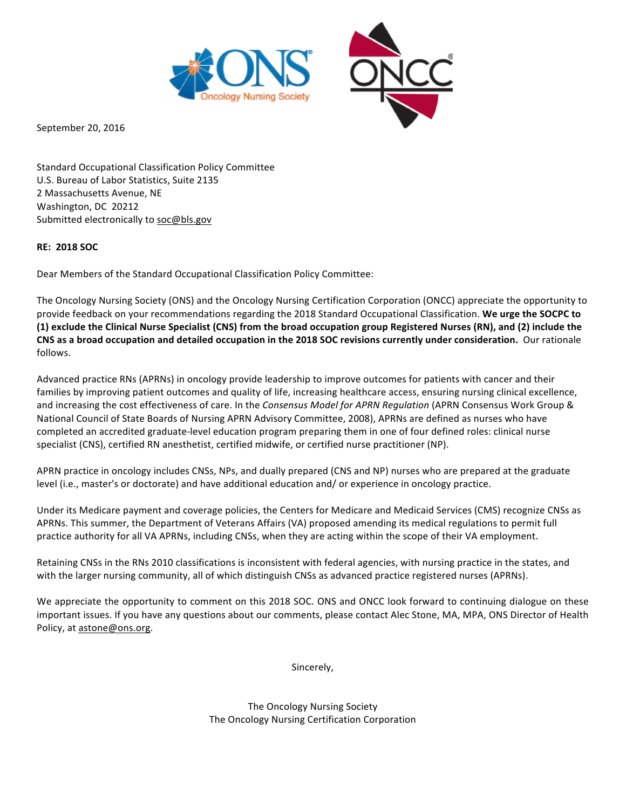

September 20, 2016

Standard Occupational Classification Policy Committee U.S. Bureau of Labor Statistics, Suite 2135 2 Massachusetts Avenue, NE Washington, DC 20212 Submitted electronically to soc@bls.gov

## **RE: 2018 SOC**

Dear Members of the Standard Occupational Classification Policy Committee:

The Oncology Nursing Society (ONS) and the Oncology Nursing Certification Corporation (ONCC) appreciate the opportunity to provide feedback on your recommendations regarding the 2018 Standard Occupational Classification. **We urge the SOCPC to** (1) exclude the Clinical Nurse Specialist (CNS) from the broad occupation group Registered Nurses (RN), and (2) include the CNS as a broad occupation and detailed occupation in the 2018 SOC revisions currently under consideration. Our rationale follows.

Advanced practice RNs (APRNs) in oncology provide leadership to improve outcomes for patients with cancer and their families by improving patient outcomes and quality of life, increasing healthcare access, ensuring nursing clinical excellence, and increasing the cost effectiveness of care. In the *Consensus Model for APRN Regulation* (APRN Consensus Work Group & National Council of State Boards of Nursing APRN Advisory Committee, 2008), APRNs are defined as nurses who have completed an accredited graduate-level education program preparing them in one of four defined roles: clinical nurse specialist (CNS), certified RN anesthetist, certified midwife, or certified nurse practitioner (NP).

APRN practice in oncology includes CNSs, NPs, and dually prepared (CNS and NP) nurses who are prepared at the graduate level (i.e., master's or doctorate) and have additional education and/ or experience in oncology practice.

Under its Medicare payment and coverage policies, the Centers for Medicare and Medicaid Services (CMS) recognize CNSs as APRNs. This summer, the Department of Veterans Affairs (VA) proposed amending its medical regulations to permit full practice authority for all VA APRNs, including CNSs, when they are acting within the scope of their VA employment.

Retaining CNSs in the RNs 2010 classifications is inconsistent with federal agencies, with nursing practice in the states, and with the larger nursing community, all of which distinguish CNSs as advanced practice registered nurses (APRNs).

We appreciate the opportunity to comment on this 2018 SOC. ONS and ONCC look forward to continuing dialogue on these important issues. If you have any questions about our comments, please contact Alec Stone, MA, MPA, ONS Director of Health Policy, at astone@ons.org.

Sincerely,

The Oncology Nursing Society The Oncology Nursing Certification Corporation